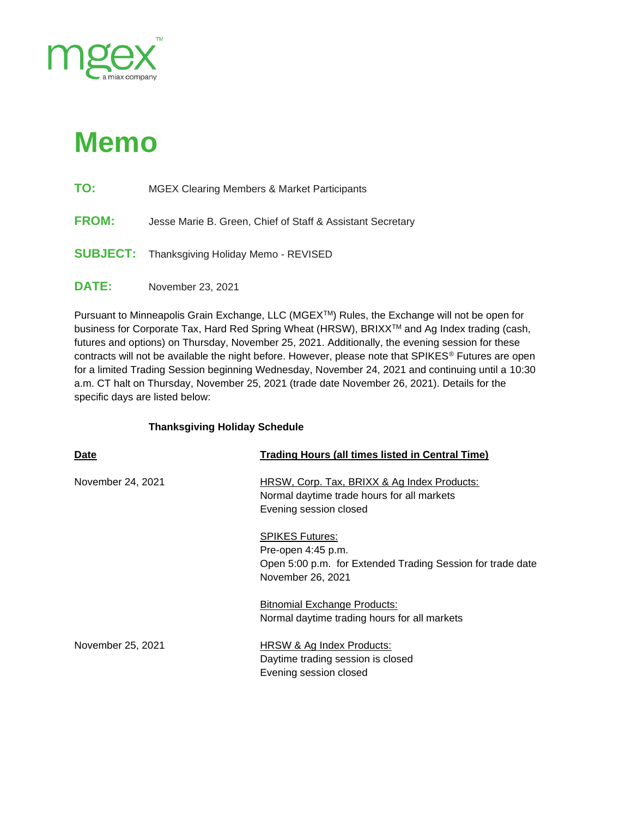

## **Memo**

- **TO:** MGEX Clearing Members & Market Participants
- **FROM:** Jesse Marie B. Green, Chief of Staff & Assistant Secretary
- **SUBJECT:** Thanksgiving Holiday Memo REVISED
- **DATE:** November 23, 2021

Pursuant to Minneapolis Grain Exchange, LLC (MGEX™) Rules, the Exchange will not be open for business for Corporate Tax, Hard Red Spring Wheat (HRSW), BRIXXTM and Ag Index trading (cash, futures and options) on Thursday, November 25, 2021. Additionally, the evening session for these contracts will not be available the night before. However, please note that SPIKES<sup>®</sup> Futures are open for a limited Trading Session beginning Wednesday, November 24, 2021 and continuing until a 10:30 a.m. CT halt on Thursday, November 25, 2021 (trade date November 26, 2021). Details for the specific days are listed below:

## **Thanksgiving Holiday Schedule**

| <b>Date</b>       | <b>Trading Hours (all times listed in Central Time)</b>                                                                         |
|-------------------|---------------------------------------------------------------------------------------------------------------------------------|
| November 24, 2021 | <b>HRSW, Corp. Tax, BRIXX &amp; Ag Index Products:</b><br>Normal daytime trade hours for all markets<br>Evening session closed  |
|                   | <b>SPIKES Futures:</b><br>Pre-open 4:45 p.m.<br>Open 5:00 p.m. for Extended Trading Session for trade date<br>November 26, 2021 |
|                   | <b>Bitnomial Exchange Products:</b><br>Normal daytime trading hours for all markets                                             |
| November 25, 2021 | HRSW & Ag Index Products:<br>Daytime trading session is closed<br>Evening session closed                                        |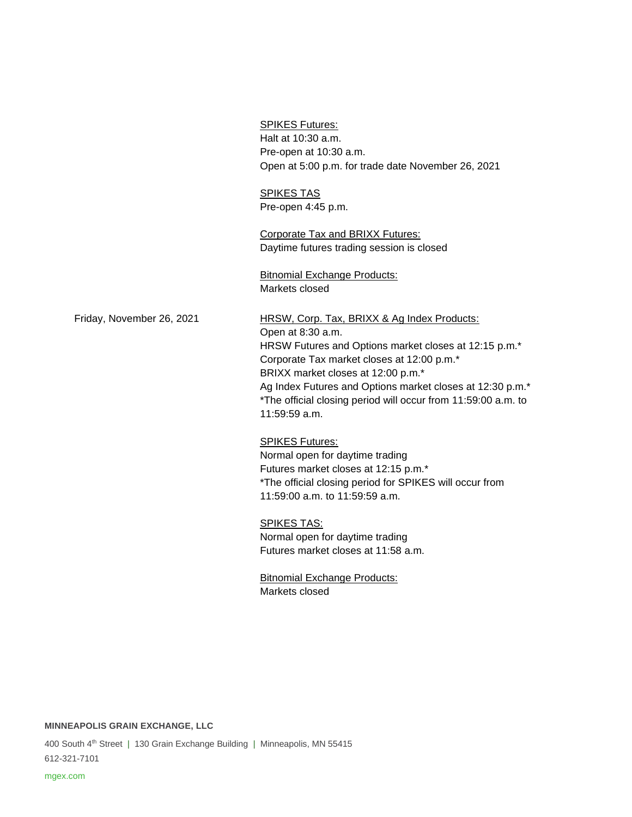Open at 5:00 p.m. for trade date November 26, 2021 SPIKES TAS Pre-open 4:45 p.m. Corporate Tax and BRIXX Futures: Daytime futures trading session is closed Bitnomial Exchange Products: Markets closed Friday, November 26, 2021 HRSW, Corp. Tax, BRIXX & Ag Index Products: Open at 8:30 a.m. HRSW Futures and Options market closes at 12:15 p.m.\* Corporate Tax market closes at 12:00 p.m.\* BRIXX market closes at 12:00 p.m.\* Ag Index Futures and Options market closes at 12:30 p.m.\* \*The official closing period will occur from 11:59:00 a.m. to 11:59:59 a.m. SPIKES Futures: Normal open for daytime trading Futures market closes at 12:15 p.m.\*

SPIKES Futures: Halt at 10:30 a.m. Pre-open at 10:30 a.m.

\*The official closing period for SPIKES will occur from 11:59:00 a.m. to 11:59:59 a.m.

SPIKES TAS: Normal open for daytime trading Futures market closes at 11:58 a.m.

Bitnomial Exchange Products: Markets closed

**MINNEAPOLIS GRAIN EXCHANGE, LLC**

400 South 4<sup>th</sup> Street | 130 Grain Exchange Building | Minneapolis, MN 55415 612-321-7101